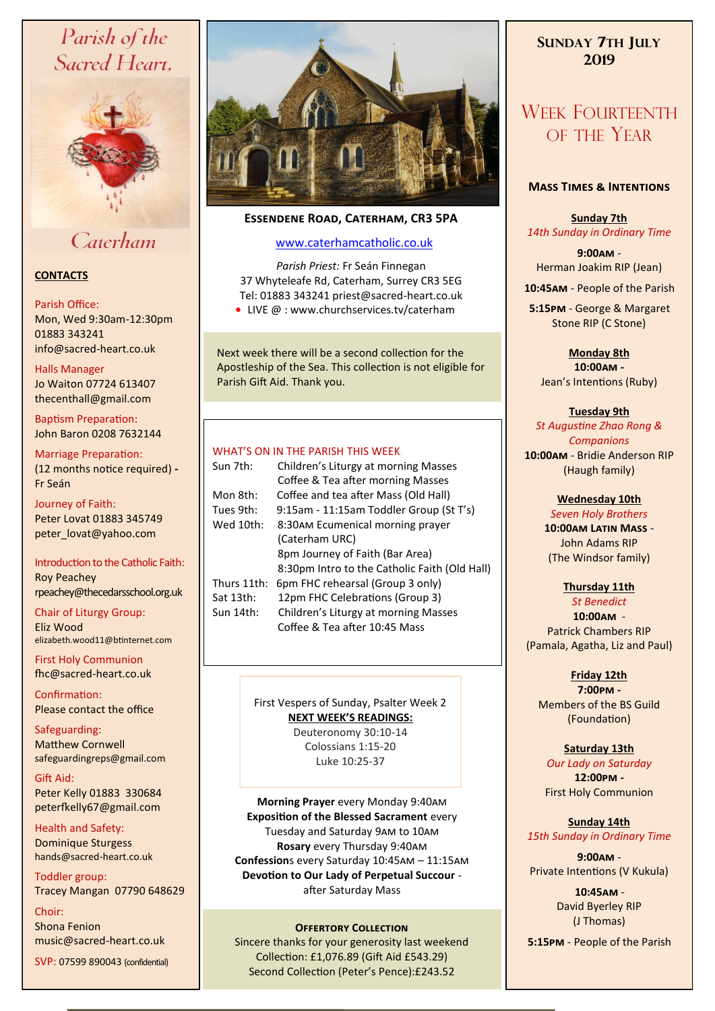# Parish of the Sacred Heart,



# Caterham

#### **CONTACTS**

#### Parish Office:

Mon, Wed 9:30am-12:30pm 01883 343241 info@sacred-heart.co.uk .

#### Halls Manager

Jo Waiton 07724 613407 thecenthall@gmail.com

Baptism Preparation: John Baron 0208 7632144

Marriage Preparation: (12 months notice required) **-** Fr Seán

Journey of Faith: Peter Lovat 01883 345749 peter\_lovat@yahoo.com

Introduction to the Catholic Faith: Roy Peachey rpeachey@thecedarsschool.org.uk

Chair of Liturgy Group: Eliz Wood elizabeth.wood11@btinternet.com

First Holy Communion fhc@sacred-heart.co.uk

Confirmation: Please contact the office

Safeguarding: Matthew Cornwell safeguardingreps@gmail.com

Gift Aid: Peter Kelly 01883 330684 peterfkelly67@gmail.com

Health and Safety: Dominique Sturgess hands@sacred-heart.co.uk

Toddler group: Tracey Mangan 07790 648629

Choir: Shona Fenion music@sacred-heart.co.uk SVP: 07599 890043 (confidential)



## **Essendene Road, Caterham, CR3 5PA**

## [www.caterhamcatholic.co.uk](http://Www.caterhamcatholic.co.uk)

*Parish Priest:* Fr Seán Finnegan 37 Whyteleafe Rd, Caterham, Surrey CR3 5EG Tel: 01883 343241 priest@sacred-heart.co.uk

● LIVE @ : www.churchservices.tv/caterham

Next week there will be a second collection for the Apostleship of the Sea. This collection is not eligible for Parish Gift Aid. Thank you.

#### WHAT'S ON IN THE PARISH THIS WEEK.

| Sun 7th:    | Children's Liturgy at morning Masses          |
|-------------|-----------------------------------------------|
|             | Coffee & Tea after morning Masses             |
| Mon 8th:    | Coffee and tea after Mass (Old Hall)          |
| Tues 9th:   | 9:15am - 11:15am Toddler Group (St T's)       |
| Wed 10th:   | 8:30AM Ecumenical morning prayer              |
|             | (Caterham URC)                                |
|             | 8pm Journey of Faith (Bar Area)               |
|             | 8:30pm Intro to the Catholic Faith (Old Hall) |
| Thurs 11th: | 6pm FHC rehearsal (Group 3 only)              |
| Sat 13th:   | 12pm FHC Celebrations (Group 3)               |
| Sun 14th:   | Children's Liturgy at morning Masses          |
|             | Coffee & Tea after 10:45 Mass                 |
|             |                                               |

## First Vespers of Sunday, Psalter Week 2 **NEXT WEEK'S READINGS:**

Deuteronomy 30:10-14 Colossians 1:15-20 Luke 10:25-37

**Morning Prayer** every Monday 9:40am **Exposition of the Blessed Sacrament** every Tuesday and Saturday 9am to 10am **Rosary** every Thursday 9:40am **Confession**s every Saturday 10:45am – 11:15am **Devotion to Our Lady of Perpetual Succour**  after Saturday Mass

### **OFFERTORY COLLECTION**

Sincere thanks for your generosity last weekend Collection: £1,076.89 (Gift Aid £543.29) Second Collection (Peter's Pence):£243.52

## **SUNDAY 7TH JULY 2019**

# WEEK FOURTEENTH OF THE YEAR

#### **Mass Times & Intentions**

**Sunday 7th** *14th Sunday in Ordinary Time*

**9:00am** - Herman Joakim RIP (Jean)

.**10:45am** - People of the Parish

.**5:15pm** - George & Margaret Stone RIP (C Stone)

> **Monday 8th 10:00am -**  Jean's Intentions (Ruby)

#### **Tuesday 9th**

*St Augustine Zhao Rong & Companions* **10:00am** - Bridie Anderson RIP (Haugh family)

#### **Wednesday 10th**

*Seven Holy Brothers* **10:00am Latin Mass** - John Adams RIP (The Windsor family)

### **Thursday 11th**

*St Benedict* **10:00am** - Patrick Chambers RIP (Pamala, Agatha, Liz and Paul)

## **Friday 12th**

**7:00pm -** Members of the BS Guild (Foundation)

### **Saturday 13th**

*Our Lady on Saturday* **12:00pm -**  First Holy Communion

#### **Sunday 14th** *15th Sunday in Ordinary Time*

**9:00am** - Private Intentions (V Kukula)

> .**10:45am** - David Byerley RIP (J Thomas)

.**5:15pm** - People of the Parish